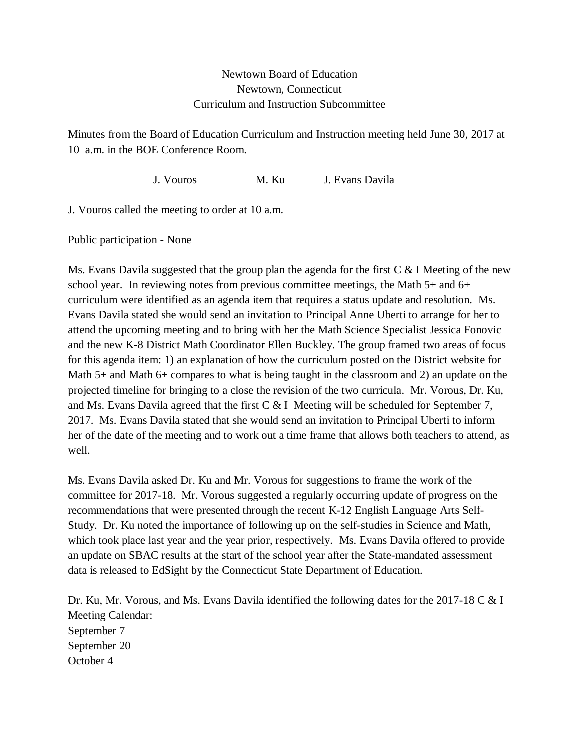## Newtown Board of Education Newtown, Connecticut Curriculum and Instruction Subcommittee

Minutes from the Board of Education Curriculum and Instruction meeting held June 30, 2017 at 10 a.m. in the BOE Conference Room.

J. Vouros M. Ku J. Evans Davila

J. Vouros called the meeting to order at 10 a.m.

Public participation - None

Ms. Evans Davila suggested that the group plan the agenda for the first  $C < I$  Meeting of the new school year. In reviewing notes from previous committee meetings, the Math 5+ and 6+ curriculum were identified as an agenda item that requires a status update and resolution. Ms. Evans Davila stated she would send an invitation to Principal Anne Uberti to arrange for her to attend the upcoming meeting and to bring with her the Math Science Specialist Jessica Fonovic and the new K-8 District Math Coordinator Ellen Buckley. The group framed two areas of focus for this agenda item: 1) an explanation of how the curriculum posted on the District website for Math 5+ and Math 6+ compares to what is being taught in the classroom and 2) an update on the projected timeline for bringing to a close the revision of the two curricula. Mr. Vorous, Dr. Ku, and Ms. Evans Davila agreed that the first  $C & I$  Meeting will be scheduled for September 7, 2017. Ms. Evans Davila stated that she would send an invitation to Principal Uberti to inform her of the date of the meeting and to work out a time frame that allows both teachers to attend, as well.

Ms. Evans Davila asked Dr. Ku and Mr. Vorous for suggestions to frame the work of the committee for 2017-18. Mr. Vorous suggested a regularly occurring update of progress on the recommendations that were presented through the recent K-12 English Language Arts Self-Study. Dr. Ku noted the importance of following up on the self-studies in Science and Math, which took place last year and the year prior, respectively. Ms. Evans Davila offered to provide an update on SBAC results at the start of the school year after the State-mandated assessment data is released to EdSight by the Connecticut State Department of Education.

Dr. Ku, Mr. Vorous, and Ms. Evans Davila identified the following dates for the 2017-18 C & I Meeting Calendar: September 7 September 20 October 4